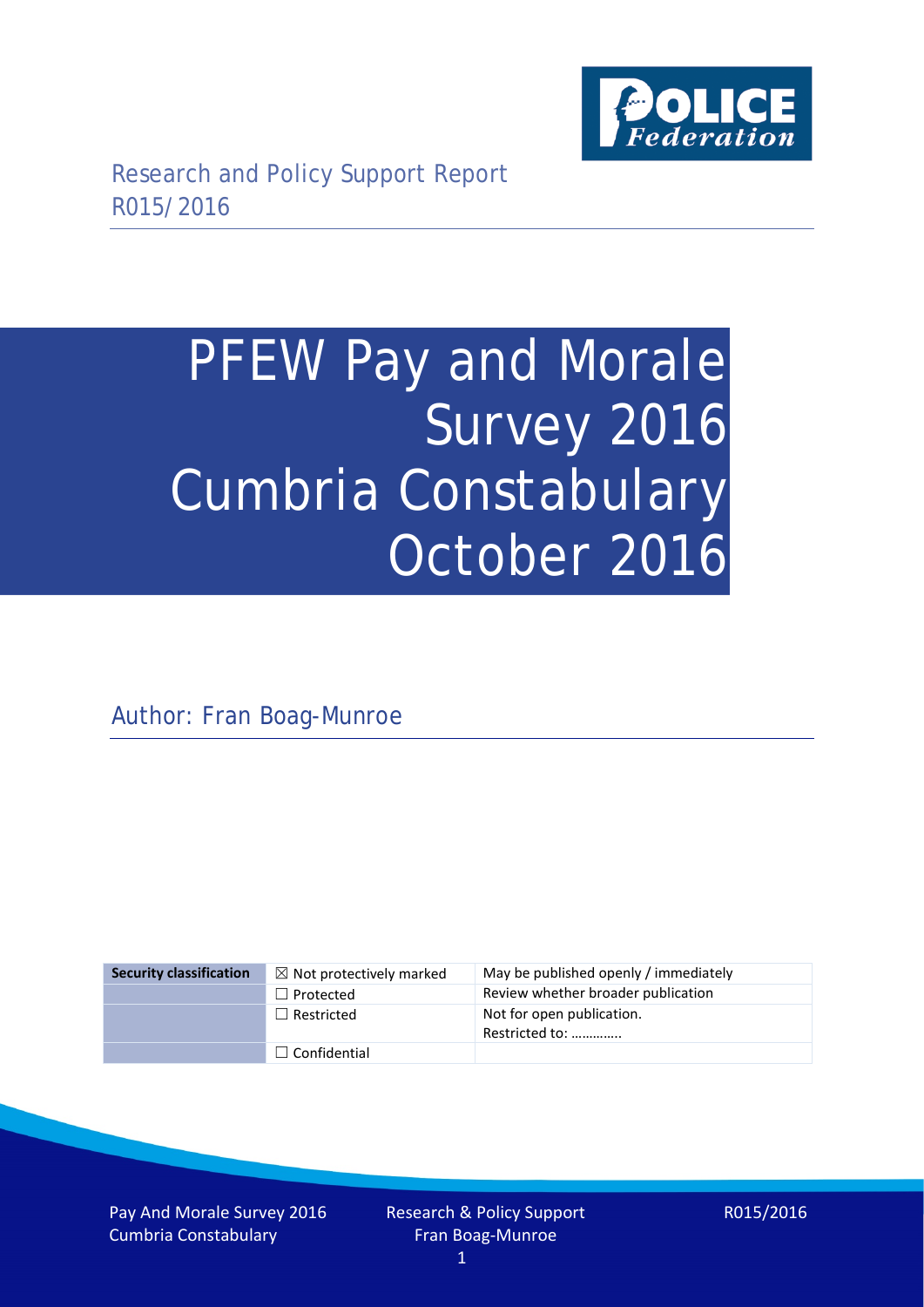

# PFEW Pay and Morale Survey 2016 Cumbria Constabulary October 2016

Author: Fran Boag-Munroe

| <b>Security classification</b> | $\boxtimes$ Not protectively marked | May be published openly / immediately       |
|--------------------------------|-------------------------------------|---------------------------------------------|
|                                | $\Box$ Protected                    | Review whether broader publication          |
|                                | $\Box$ Restricted                   | Not for open publication.<br>Restricted to: |
|                                | $\Box$ Confidential                 |                                             |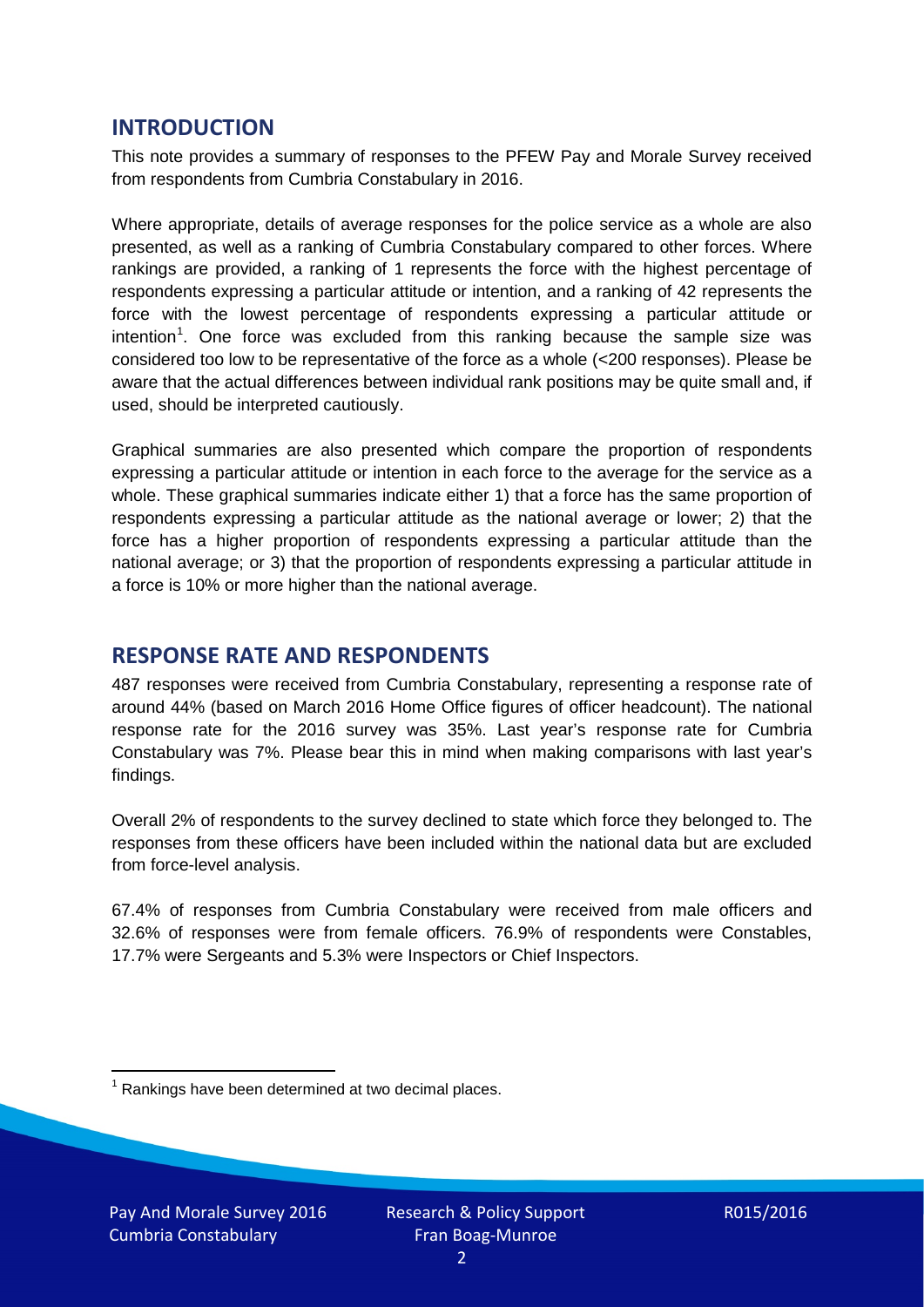## **INTRODUCTION**

This note provides a summary of responses to the PFEW Pay and Morale Survey received from respondents from Cumbria Constabulary in 2016.

Where appropriate, details of average responses for the police service as a whole are also presented, as well as a ranking of Cumbria Constabulary compared to other forces. Where rankings are provided, a ranking of 1 represents the force with the highest percentage of respondents expressing a particular attitude or intention, and a ranking of 42 represents the force with the lowest percentage of respondents expressing a particular attitude or intention<sup>[1](#page-1-0)</sup>. One force was excluded from this ranking because the sample size was considered too low to be representative of the force as a whole (<200 responses). Please be aware that the actual differences between individual rank positions may be quite small and, if used, should be interpreted cautiously.

Graphical summaries are also presented which compare the proportion of respondents expressing a particular attitude or intention in each force to the average for the service as a whole. These graphical summaries indicate either 1) that a force has the same proportion of respondents expressing a particular attitude as the national average or lower; 2) that the force has a higher proportion of respondents expressing a particular attitude than the national average; or 3) that the proportion of respondents expressing a particular attitude in a force is 10% or more higher than the national average.

# **RESPONSE RATE AND RESPONDENTS**

487 responses were received from Cumbria Constabulary, representing a response rate of around 44% (based on March 2016 Home Office figures of officer headcount). The national response rate for the 2016 survey was 35%. Last year's response rate for Cumbria Constabulary was 7%. Please bear this in mind when making comparisons with last year's findings.

Overall 2% of respondents to the survey declined to state which force they belonged to. The responses from these officers have been included within the national data but are excluded from force-level analysis.

67.4% of responses from Cumbria Constabulary were received from male officers and 32.6% of responses were from female officers. 76.9% of respondents were Constables, 17.7% were Sergeants and 5.3% were Inspectors or Chief Inspectors.

<span id="page-1-0"></span> $1$  Rankings have been determined at two decimal places.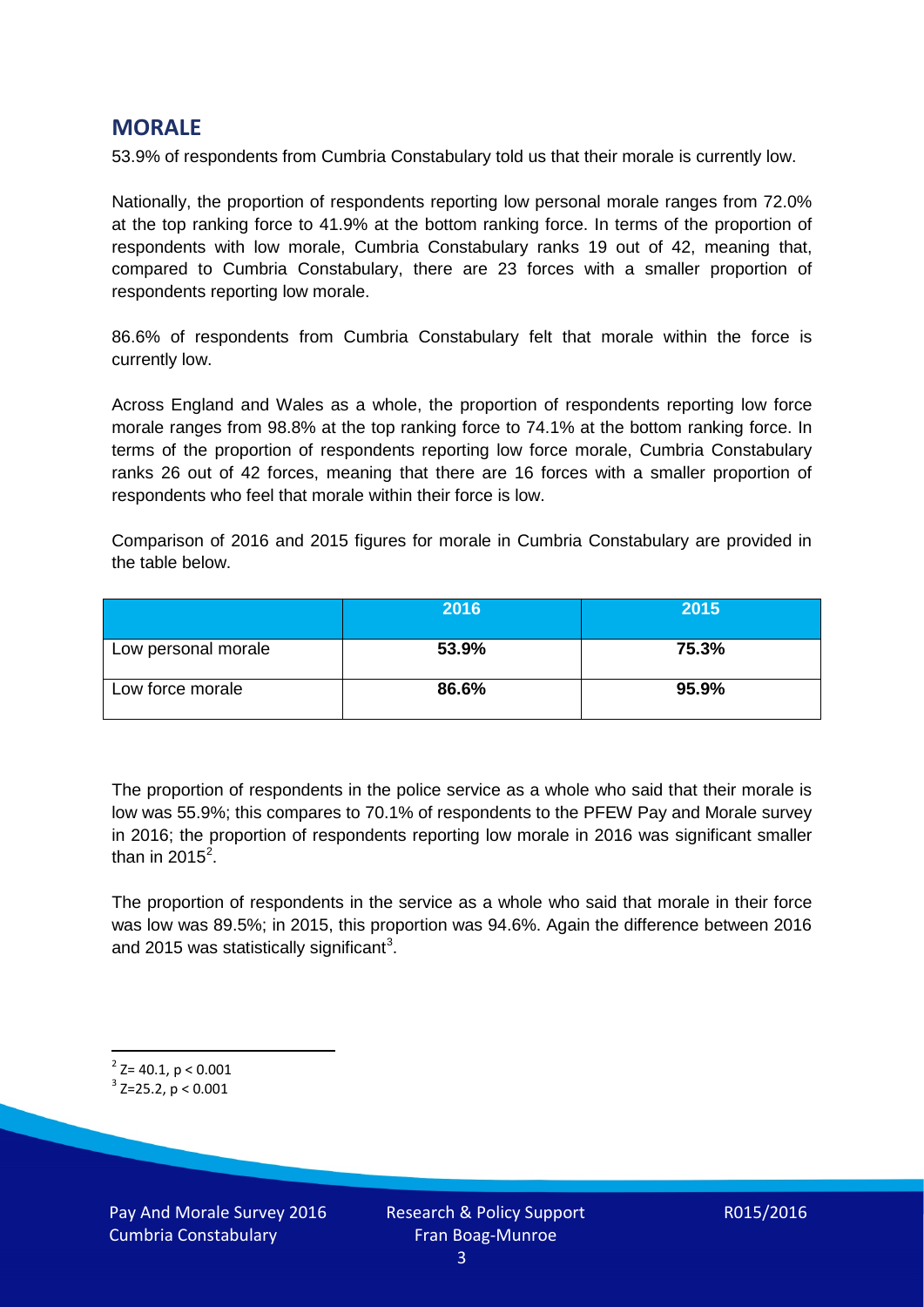## **MORALE**

53.9% of respondents from Cumbria Constabulary told us that their morale is currently low.

Nationally, the proportion of respondents reporting low personal morale ranges from 72.0% at the top ranking force to 41.9% at the bottom ranking force. In terms of the proportion of respondents with low morale, Cumbria Constabulary ranks 19 out of 42, meaning that, compared to Cumbria Constabulary, there are 23 forces with a smaller proportion of respondents reporting low morale.

86.6% of respondents from Cumbria Constabulary felt that morale within the force is currently low.

Across England and Wales as a whole, the proportion of respondents reporting low force morale ranges from 98.8% at the top ranking force to 74.1% at the bottom ranking force. In terms of the proportion of respondents reporting low force morale, Cumbria Constabulary ranks 26 out of 42 forces, meaning that there are 16 forces with a smaller proportion of respondents who feel that morale within their force is low.

Comparison of 2016 and 2015 figures for morale in Cumbria Constabulary are provided in the table below.

|                     | 2016  | 2015  |
|---------------------|-------|-------|
| Low personal morale | 53.9% | 75.3% |
| Low force morale    | 86.6% | 95.9% |

The proportion of respondents in the police service as a whole who said that their morale is low was 55.9%; this compares to 70.1% of respondents to the PFEW Pay and Morale survey in 2016; the proportion of respondents reporting low morale in 2016 was significant smaller than in [2](#page-2-0)015 $^2$ .

The proportion of respondents in the service as a whole who said that morale in their force was low was 89.5%; in 2015, this proportion was 94.6%. Again the difference between 2016 and 2015 was statistically significant<sup>[3](#page-2-1)</sup>.

<span id="page-2-0"></span> $2$ <sup>2</sup> Z= 40.1, p < 0.001

<span id="page-2-1"></span> $3$  Z=25.2, p < 0.001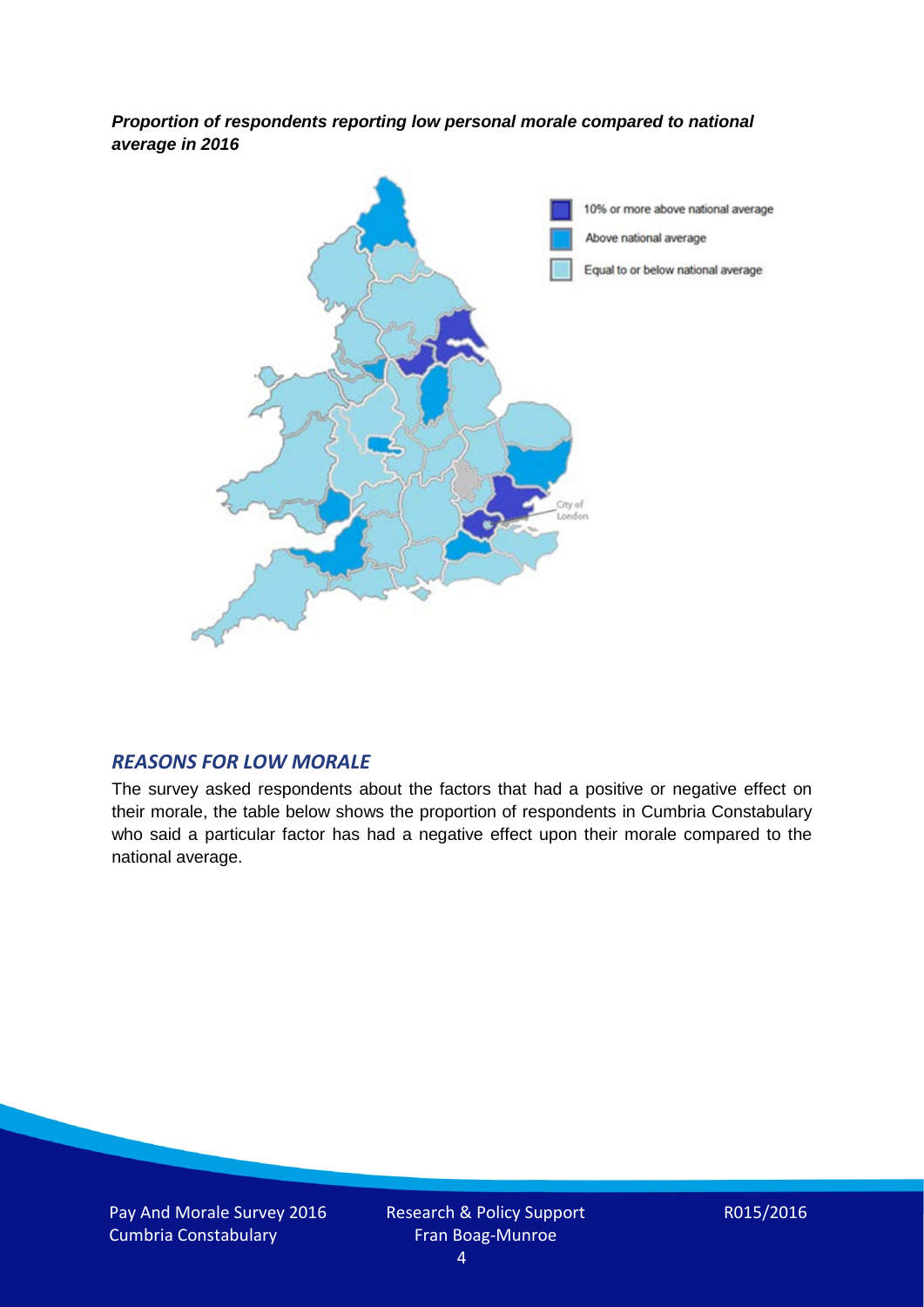*Proportion of respondents reporting low personal morale compared to national average in 2016*



#### *REASONS FOR LOW MORALE*

The survey asked respondents about the factors that had a positive or negative effect on their morale, the table below shows the proportion of respondents in Cumbria Constabulary who said a particular factor has had a negative effect upon their morale compared to the national average.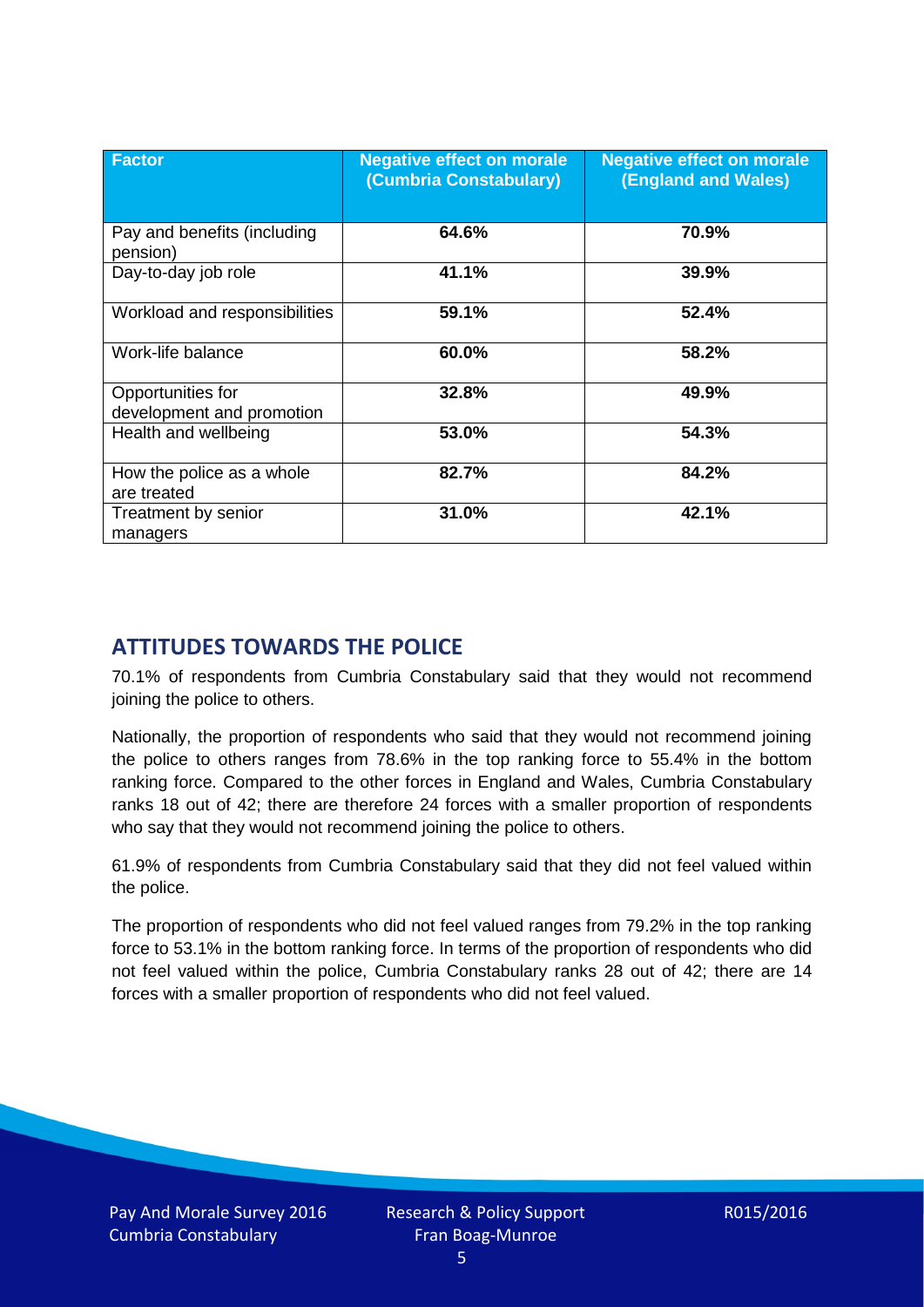| <b>Factor</b>                                  | <b>Negative effect on morale</b><br>(Cumbria Constabulary) | <b>Negative effect on morale</b><br><b>(England and Wales)</b> |
|------------------------------------------------|------------------------------------------------------------|----------------------------------------------------------------|
| Pay and benefits (including<br>pension)        | 64.6%                                                      | 70.9%                                                          |
| Day-to-day job role                            | 41.1%                                                      | 39.9%                                                          |
| Workload and responsibilities                  | 59.1%                                                      | 52.4%                                                          |
| Work-life balance                              | 60.0%                                                      | 58.2%                                                          |
| Opportunities for<br>development and promotion | 32.8%                                                      | 49.9%                                                          |
| Health and wellbeing                           | 53.0%                                                      | 54.3%                                                          |
| How the police as a whole<br>are treated       | 82.7%                                                      | 84.2%                                                          |
| Treatment by senior<br>managers                | 31.0%                                                      | 42.1%                                                          |

# **ATTITUDES TOWARDS THE POLICE**

70.1% of respondents from Cumbria Constabulary said that they would not recommend joining the police to others.

Nationally, the proportion of respondents who said that they would not recommend joining the police to others ranges from 78.6% in the top ranking force to 55.4% in the bottom ranking force. Compared to the other forces in England and Wales, Cumbria Constabulary ranks 18 out of 42; there are therefore 24 forces with a smaller proportion of respondents who say that they would not recommend joining the police to others.

61.9% of respondents from Cumbria Constabulary said that they did not feel valued within the police.

The proportion of respondents who did not feel valued ranges from 79.2% in the top ranking force to 53.1% in the bottom ranking force. In terms of the proportion of respondents who did not feel valued within the police, Cumbria Constabulary ranks 28 out of 42; there are 14 forces with a smaller proportion of respondents who did not feel valued.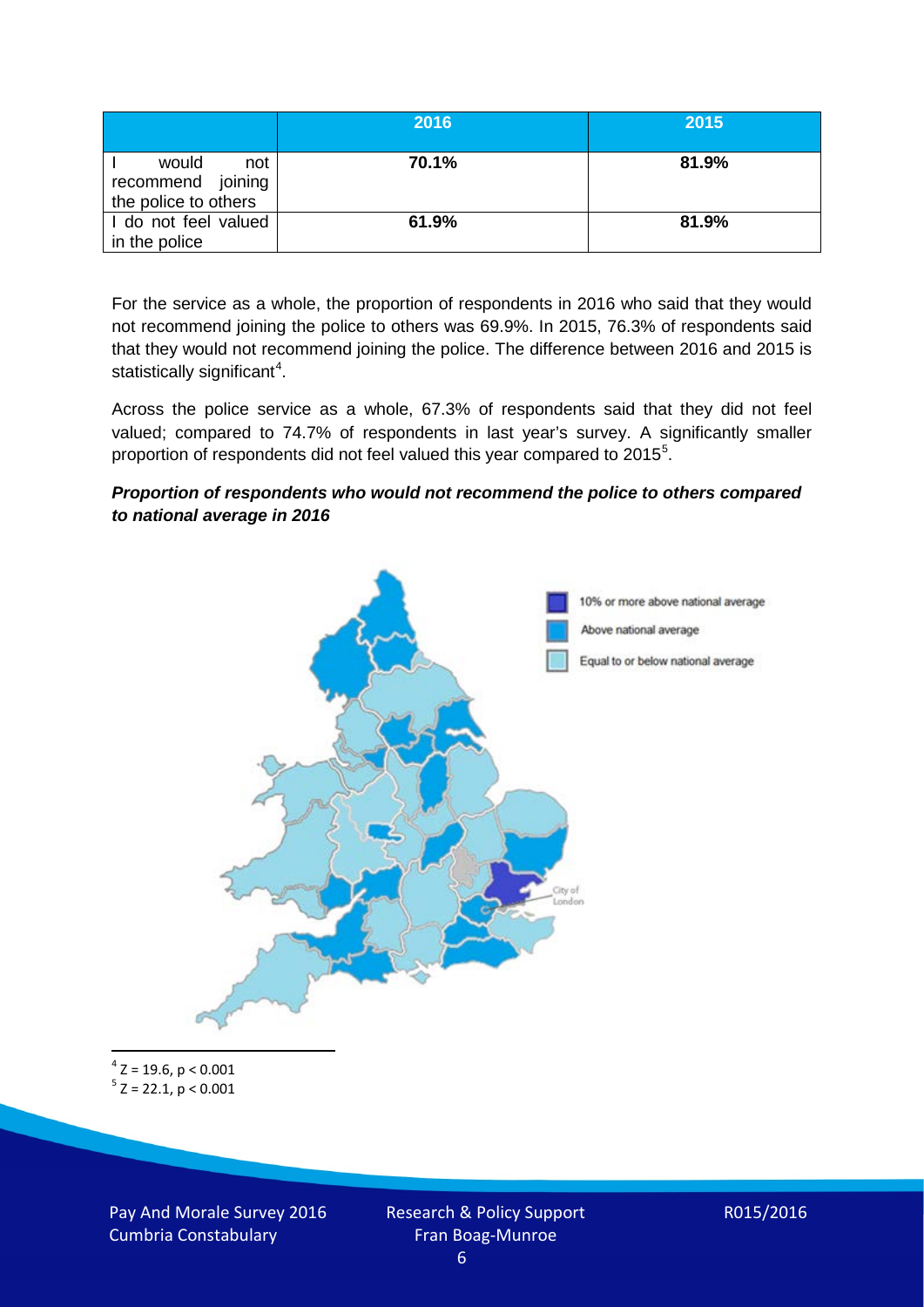|                                                           | 2016  | 2015  |
|-----------------------------------------------------------|-------|-------|
| would<br>not<br>recommend joining<br>the police to others | 70.1% | 81.9% |
| I do not feel valued<br>in the police                     | 61.9% | 81.9% |

For the service as a whole, the proportion of respondents in 2016 who said that they would not recommend joining the police to others was 69.9%. In 2015, 76.3% of respondents said that they would not recommend joining the police. The difference between 2016 and 2015 is statistically significant<sup>[4](#page-5-0)</sup>.

Across the police service as a whole, 67.3% of respondents said that they did not feel valued; compared to 74.7% of respondents in last year's survey. A significantly smaller proportion of respondents did not feel valued this year compared to 201[5](#page-5-1)<sup>5</sup>.

#### *Proportion of respondents who would not recommend the police to others compared to national average in 2016*



<span id="page-5-1"></span><span id="page-5-0"></span> $4$  Z = 19.6, p < 0.001  $5$  Z = 22.1, p < 0.001

Pay And Morale Survey 2016 Cumbria Constabulary

Research & Policy Support Fran Boag-Munroe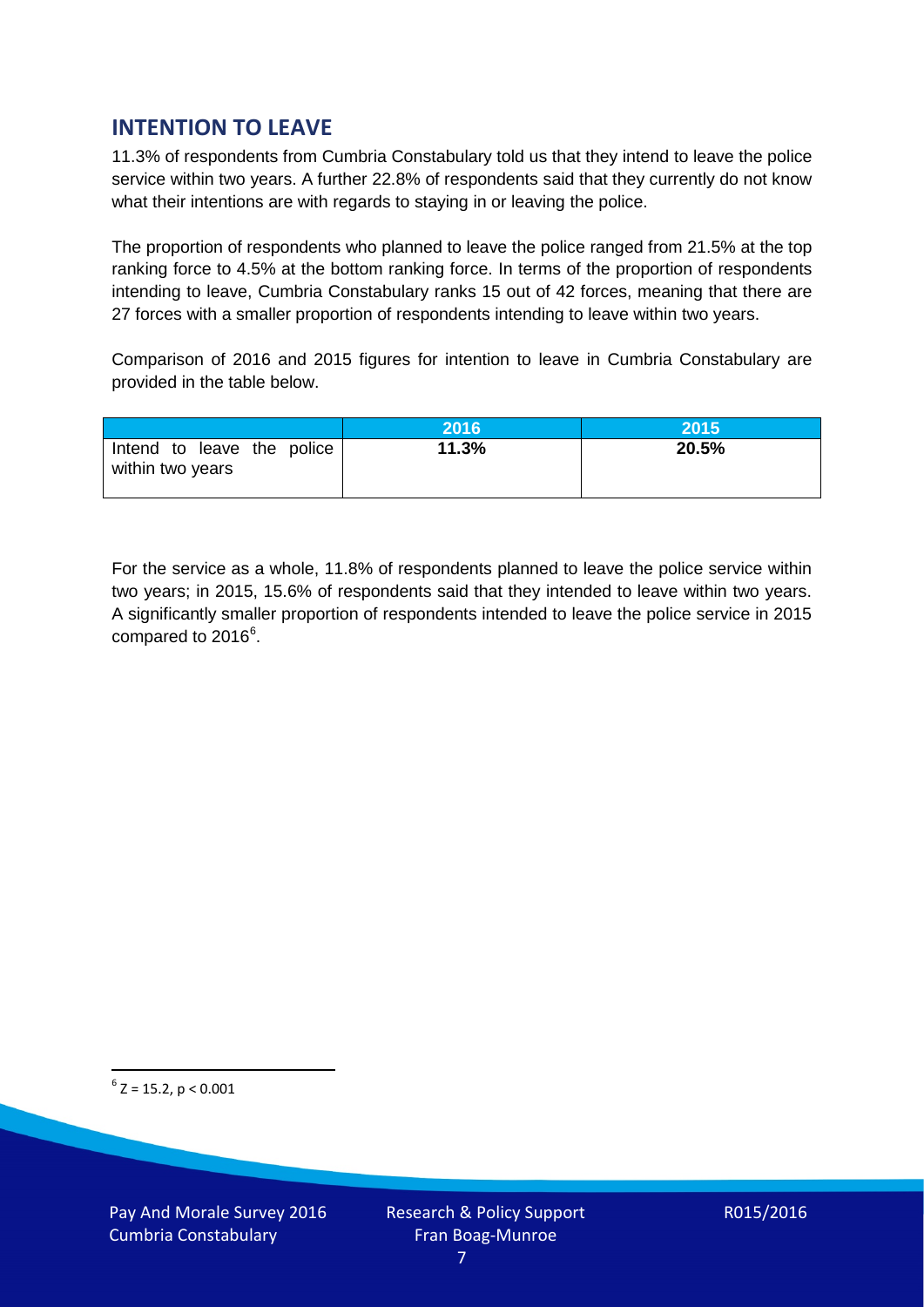# **INTENTION TO LEAVE**

11.3% of respondents from Cumbria Constabulary told us that they intend to leave the police service within two years. A further 22.8% of respondents said that they currently do not know what their intentions are with regards to staying in or leaving the police.

The proportion of respondents who planned to leave the police ranged from 21.5% at the top ranking force to 4.5% at the bottom ranking force. In terms of the proportion of respondents intending to leave, Cumbria Constabulary ranks 15 out of 42 forces, meaning that there are 27 forces with a smaller proportion of respondents intending to leave within two years.

Comparison of 2016 and 2015 figures for intention to leave in Cumbria Constabulary are provided in the table below.

|                                                | 2016  | 2015  |
|------------------------------------------------|-------|-------|
| Intend to leave the police<br>within two years | 11.3% | 20.5% |

For the service as a whole, 11.8% of respondents planned to leave the police service within two years; in 2015, 15.6% of respondents said that they intended to leave within two years. A significantly smaller proportion of respondents intended to leave the police service in 2015 compared to 201[6](#page-6-0)<sup>6</sup>.

<span id="page-6-0"></span> $6$  Z = 15.2, p < 0.001

Pay And Morale Survey 2016 Cumbria Constabulary

Research & Policy Support Fran Boag-Munroe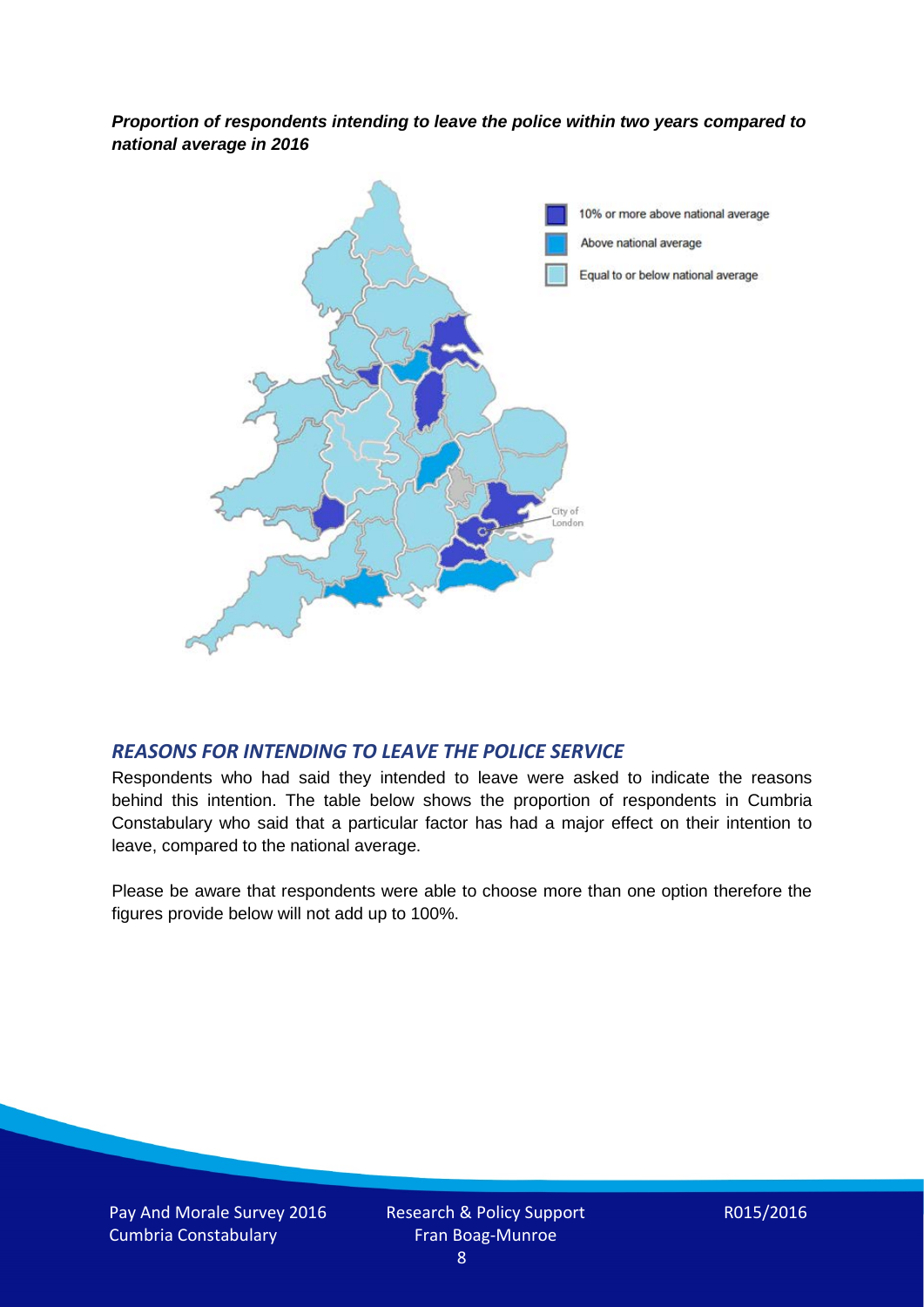*Proportion of respondents intending to leave the police within two years compared to national average in 2016*



### *REASONS FOR INTENDING TO LEAVE THE POLICE SERVICE*

Respondents who had said they intended to leave were asked to indicate the reasons behind this intention. The table below shows the proportion of respondents in Cumbria Constabulary who said that a particular factor has had a major effect on their intention to leave, compared to the national average.

Please be aware that respondents were able to choose more than one option therefore the figures provide below will not add up to 100%.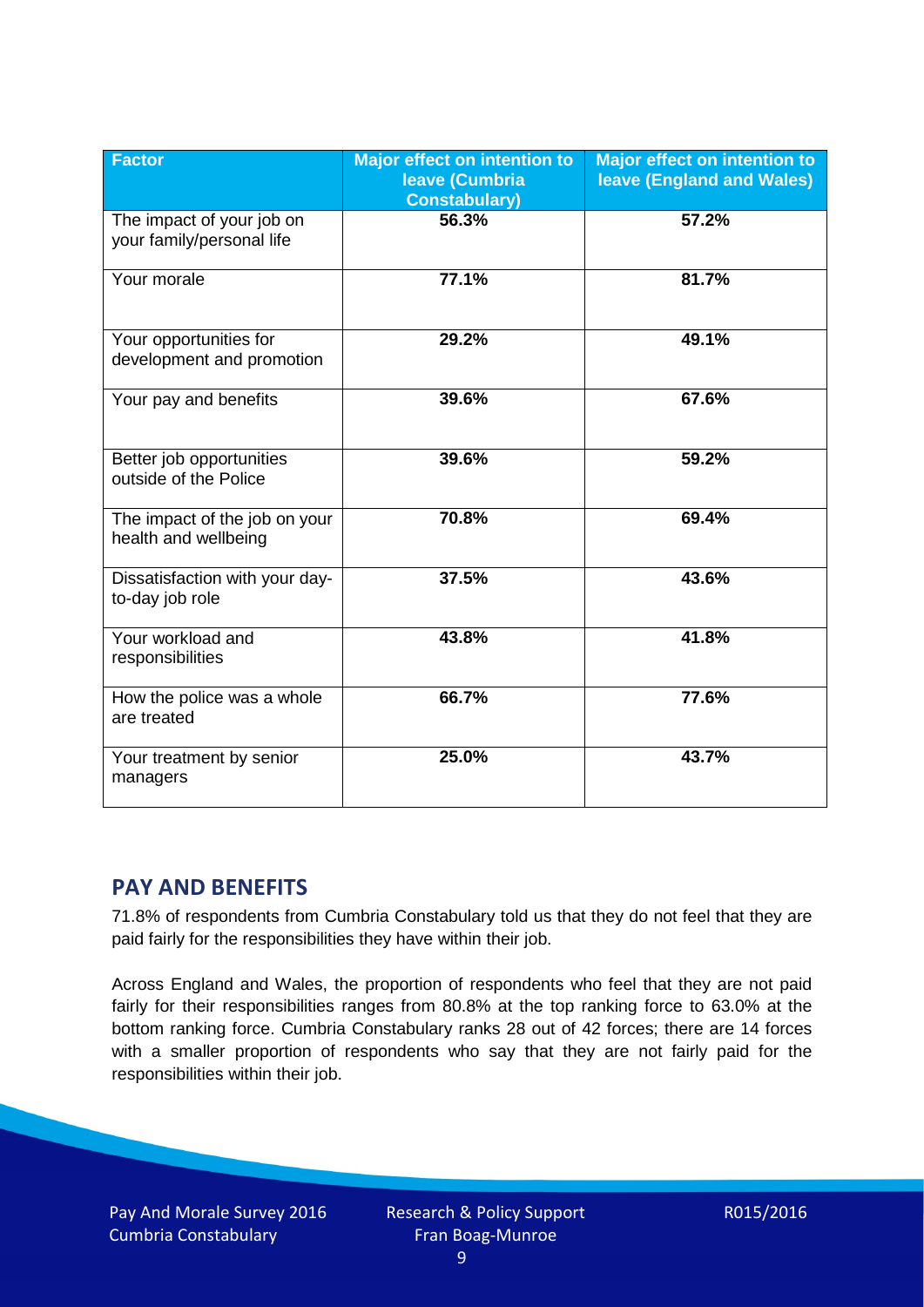| <b>Factor</b>                                          | <b>Major effect on intention to</b><br><b>leave (Cumbria</b><br><b>Constabulary</b> ) | <b>Major effect on intention to</b><br>leave (England and Wales) |
|--------------------------------------------------------|---------------------------------------------------------------------------------------|------------------------------------------------------------------|
| The impact of your job on<br>your family/personal life | 56.3%                                                                                 | 57.2%                                                            |
| Your morale                                            | 77.1%                                                                                 | 81.7%                                                            |
| Your opportunities for<br>development and promotion    | 29.2%                                                                                 | 49.1%                                                            |
| Your pay and benefits                                  | 39.6%                                                                                 | 67.6%                                                            |
| Better job opportunities<br>outside of the Police      | 39.6%                                                                                 | 59.2%                                                            |
| The impact of the job on your<br>health and wellbeing  | 70.8%                                                                                 | 69.4%                                                            |
| Dissatisfaction with your day-<br>to-day job role      | 37.5%                                                                                 | 43.6%                                                            |
| Your workload and<br>responsibilities                  | 43.8%                                                                                 | 41.8%                                                            |
| How the police was a whole<br>are treated              | 66.7%                                                                                 | 77.6%                                                            |
| Your treatment by senior<br>managers                   | 25.0%                                                                                 | 43.7%                                                            |

# **PAY AND BENEFITS**

71.8% of respondents from Cumbria Constabulary told us that they do not feel that they are paid fairly for the responsibilities they have within their job.

Across England and Wales, the proportion of respondents who feel that they are not paid fairly for their responsibilities ranges from 80.8% at the top ranking force to 63.0% at the bottom ranking force. Cumbria Constabulary ranks 28 out of 42 forces; there are 14 forces with a smaller proportion of respondents who say that they are not fairly paid for the responsibilities within their job.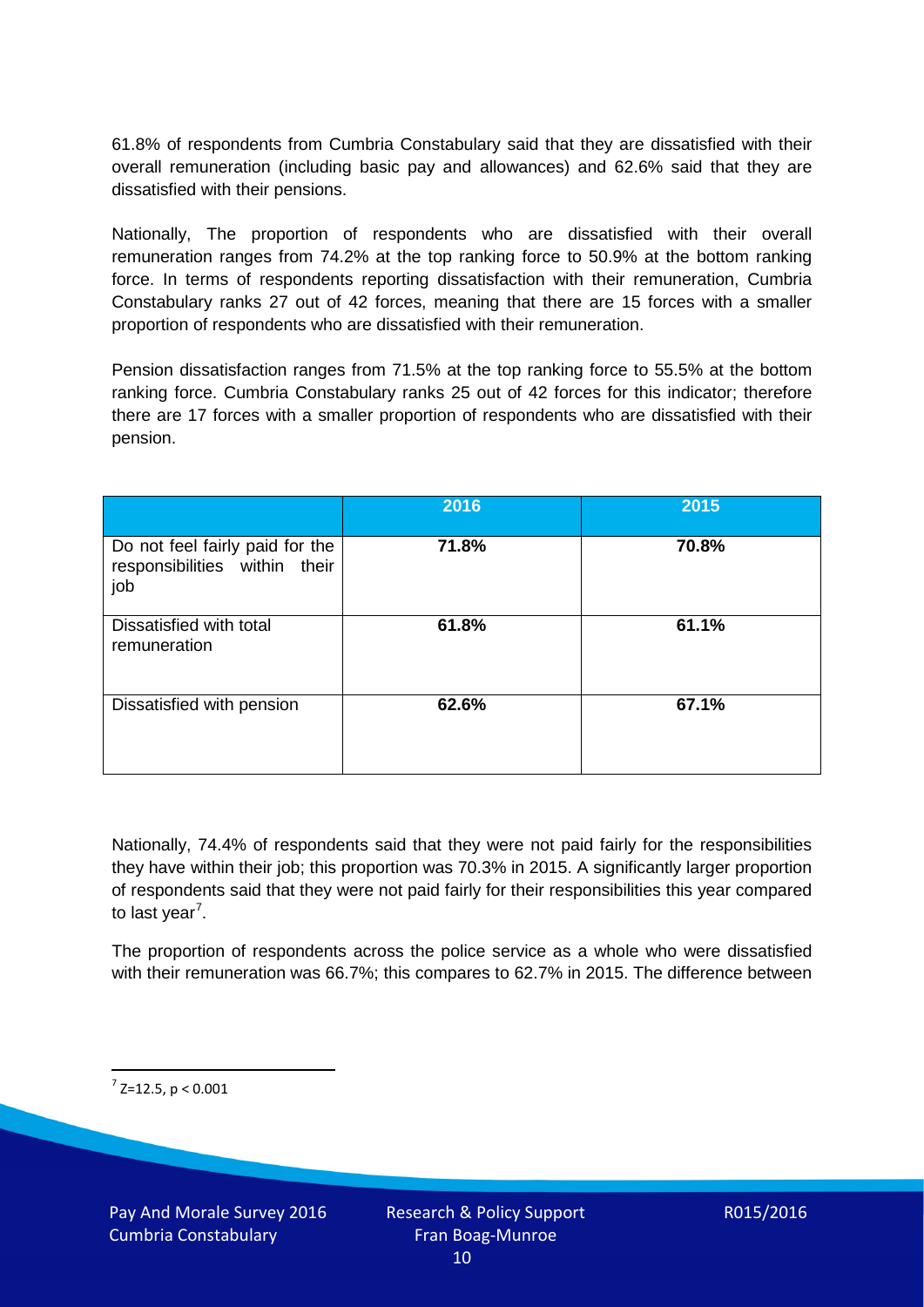61.8% of respondents from Cumbria Constabulary said that they are dissatisfied with their overall remuneration (including basic pay and allowances) and 62.6% said that they are dissatisfied with their pensions.

Nationally, The proportion of respondents who are dissatisfied with their overall remuneration ranges from 74.2% at the top ranking force to 50.9% at the bottom ranking force. In terms of respondents reporting dissatisfaction with their remuneration, Cumbria Constabulary ranks 27 out of 42 forces, meaning that there are 15 forces with a smaller proportion of respondents who are dissatisfied with their remuneration.

Pension dissatisfaction ranges from 71.5% at the top ranking force to 55.5% at the bottom ranking force. Cumbria Constabulary ranks 25 out of 42 forces for this indicator; therefore there are 17 forces with a smaller proportion of respondents who are dissatisfied with their pension.

|                                                                         | 2016  | 2015  |
|-------------------------------------------------------------------------|-------|-------|
| Do not feel fairly paid for the<br>responsibilities within their<br>job | 71.8% | 70.8% |
| Dissatisfied with total<br>remuneration                                 | 61.8% | 61.1% |
| Dissatisfied with pension                                               | 62.6% | 67.1% |

Nationally, 74.4% of respondents said that they were not paid fairly for the responsibilities they have within their job; this proportion was 70.3% in 2015. A significantly larger proportion of respondents said that they were not paid fairly for their responsibilities this year compared to last year<sup>[7](#page-9-0)</sup>.

The proportion of respondents across the police service as a whole who were dissatisfied with their remuneration was 66.7%; this compares to 62.7% in 2015. The difference between

<span id="page-9-0"></span> $7$  Z=12.5, p < 0.001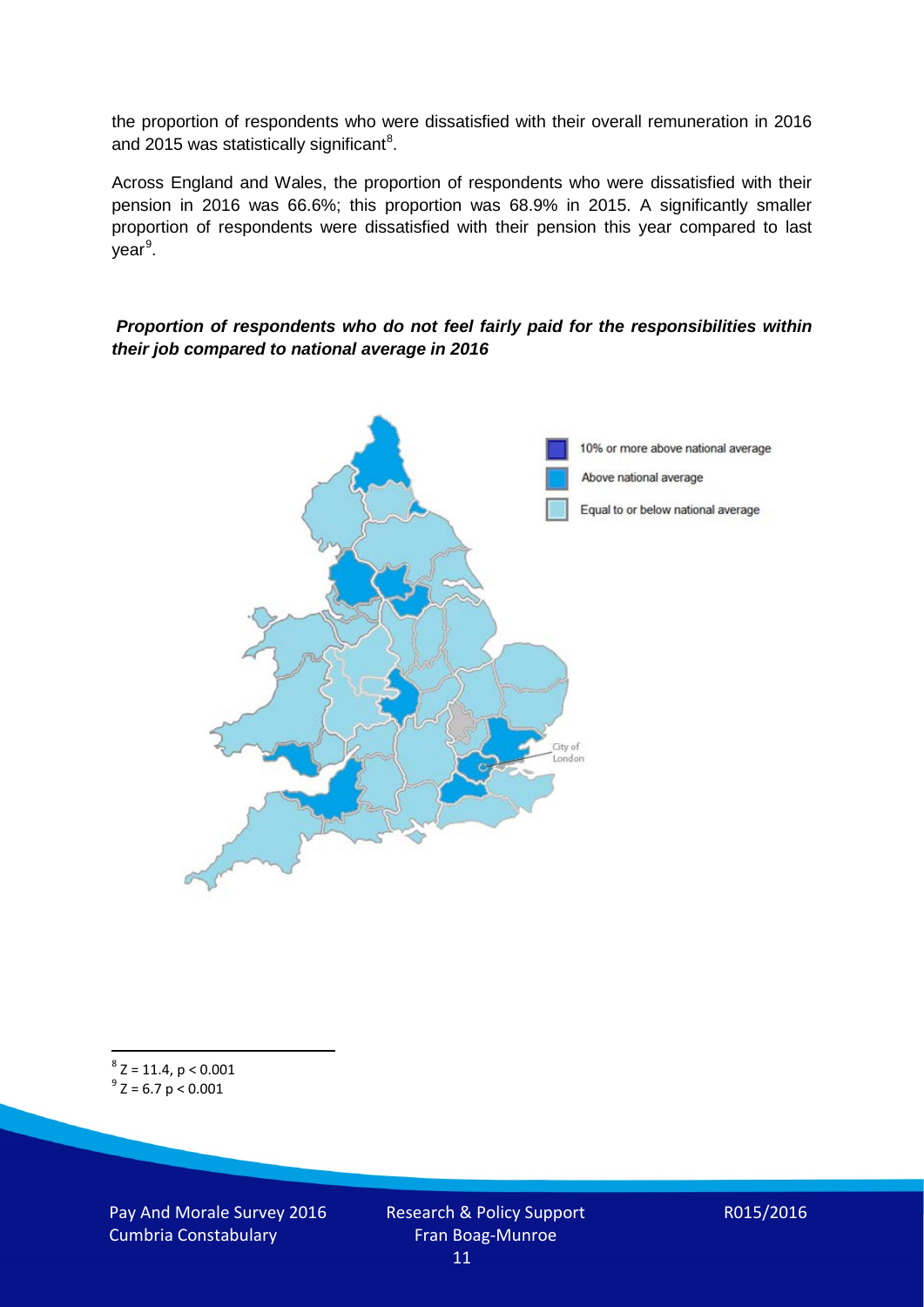the proportion of respondents who were dissatisfied with their overall remuneration in 2016 and 2015 was statistically significant<sup>[8](#page-10-0)</sup>.

Across England and Wales, the proportion of respondents who were dissatisfied with their pension in 2016 was 66.6%; this proportion was 68.9% in 2015. A significantly smaller proportion of respondents were dissatisfied with their pension this year compared to last year<sup>[9](#page-10-1)</sup>.

#### *Proportion of respondents who do not feel fairly paid for the responsibilities within their job compared to national average in 2016*



<span id="page-10-1"></span><span id="page-10-0"></span> $8$  Z = 11.4, p < 0.001  $9^{\circ}$  Z = 6.7 p < 0.001

Pay And Morale Survey 2016 Cumbria Constabulary

Research & Policy Support Fran Boag-Munroe 11

R015/2016